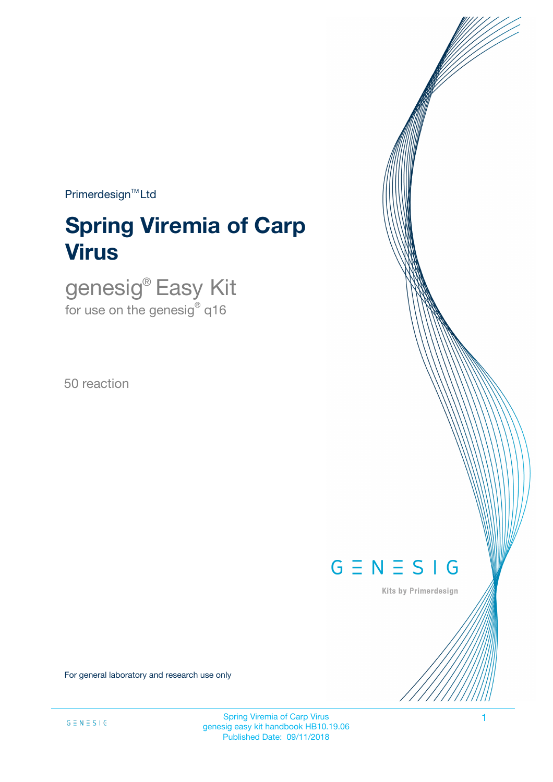$Primerdesign^{\text{TM}}$ Ltd

# **Spring Viremia of Carp Virus**

genesig® Easy Kit for use on the genesig $^\circ$  q16

50 reaction



Kits by Primerdesign

For general laboratory and research use only

Spring Viremia of Carp Virus 1 genesig easy kit handbook HB10.19.06 Published Date: 09/11/2018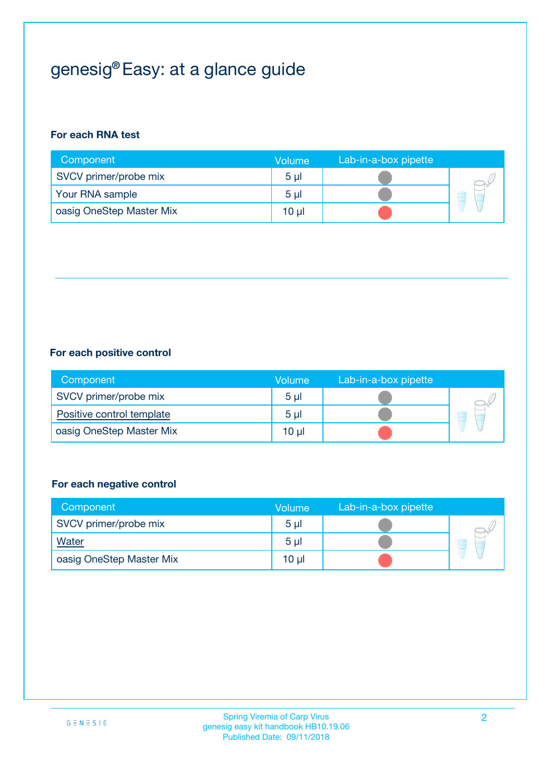## genesig® Easy: at a glance guide

#### **For each RNA test**

| Component                | <b>Volume</b>  | Lab-in-a-box pipette |  |
|--------------------------|----------------|----------------------|--|
| SVCV primer/probe mix    | 5 <sub>µ</sub> |                      |  |
| Your RNA sample          | 5 <sub>µ</sub> |                      |  |
| oasig OneStep Master Mix | 10 µl          |                      |  |

#### **For each positive control**

| Component                 | Volume         | Lab-in-a-box pipette |  |
|---------------------------|----------------|----------------------|--|
| SVCV primer/probe mix     | 5 <sub>µ</sub> |                      |  |
| Positive control template | 5 <sub>µ</sub> |                      |  |
| oasig OneStep Master Mix  | 10 µl          |                      |  |

#### **For each negative control**

| Component                | <b>Volume</b>  | Lab-in-a-box pipette |   |
|--------------------------|----------------|----------------------|---|
| SVCV primer/probe mix    | 5 <sub>µ</sub> |                      |   |
| Water                    | 5 <sub>µ</sub> |                      | ٣ |
| oasig OneStep Master Mix | $10 \mu$       |                      |   |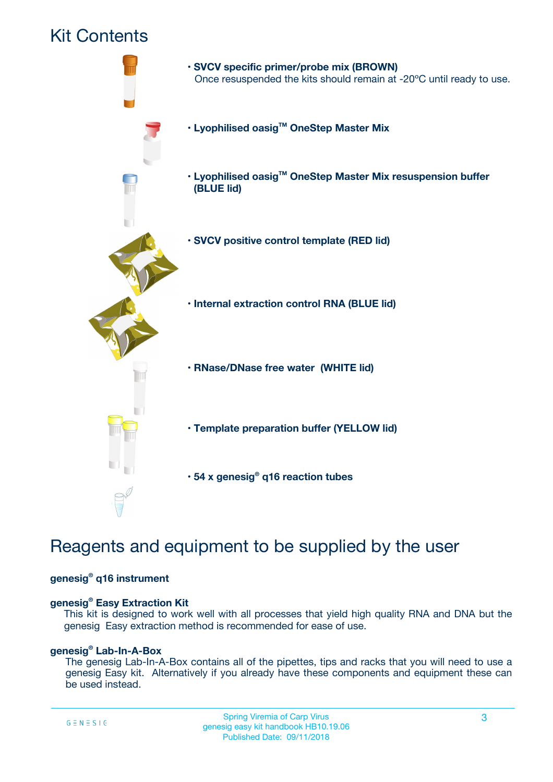### Kit Contents



## Reagents and equipment to be supplied by the user

#### **genesig® q16 instrument**

#### **genesig® Easy Extraction Kit**

This kit is designed to work well with all processes that yield high quality RNA and DNA but the genesig Easy extraction method is recommended for ease of use.

#### **genesig® Lab-In-A-Box**

The genesig Lab-In-A-Box contains all of the pipettes, tips and racks that you will need to use a genesig Easy kit. Alternatively if you already have these components and equipment these can be used instead.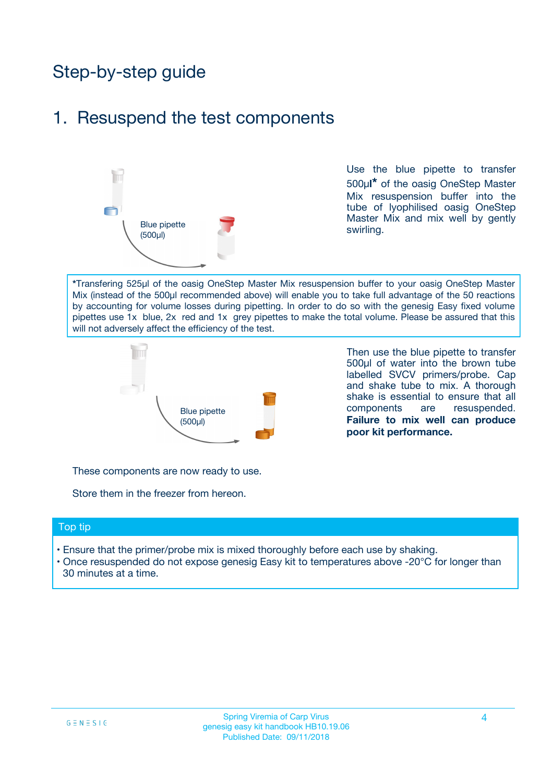## Step-by-step guide

### 1. Resuspend the test components



Use the blue pipette to transfer 500µ**l\*** of the oasig OneStep Master Mix resuspension buffer into the tube of lyophilised oasig OneStep Master Mix and mix well by gently swirling.

**\***Transfering 525µl of the oasig OneStep Master Mix resuspension buffer to your oasig OneStep Master Mix (instead of the 500µl recommended above) will enable you to take full advantage of the 50 reactions by accounting for volume losses during pipetting. In order to do so with the genesig Easy fixed volume pipettes use 1x blue, 2x red and 1x grey pipettes to make the total volume. Please be assured that this will not adversely affect the efficiency of the test.



Then use the blue pipette to transfer 500µl of water into the brown tube labelled SVCV primers/probe. Cap and shake tube to mix. A thorough shake is essential to ensure that all components are resuspended. **Failure to mix well can produce poor kit performance.**

These components are now ready to use.

Store them in the freezer from hereon.

#### Top tip

- Ensure that the primer/probe mix is mixed thoroughly before each use by shaking.
- Once resuspended do not expose genesig Easy kit to temperatures above -20°C for longer than 30 minutes at a time.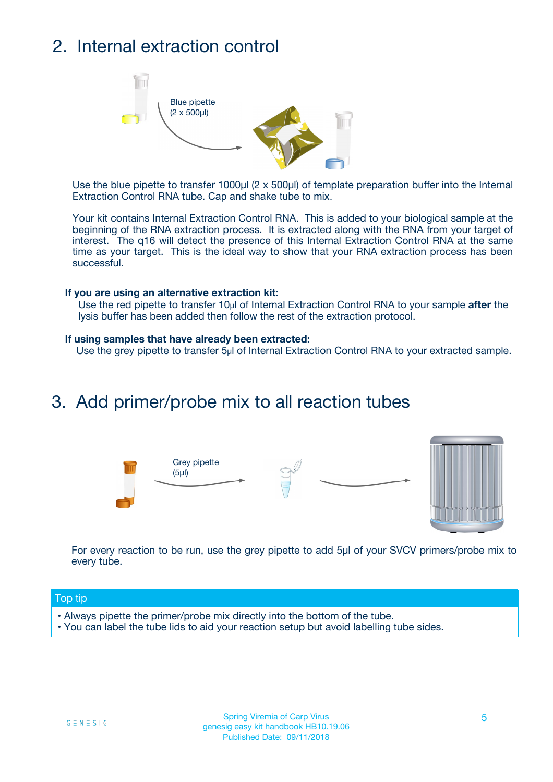## 2. Internal extraction control



Use the blue pipette to transfer 1000µl (2 x 500µl) of template preparation buffer into the Internal Extraction Control RNA tube. Cap and shake tube to mix.

Your kit contains Internal Extraction Control RNA. This is added to your biological sample at the beginning of the RNA extraction process. It is extracted along with the RNA from your target of interest. The q16 will detect the presence of this Internal Extraction Control RNA at the same time as your target. This is the ideal way to show that your RNA extraction process has been successful.

#### **If you are using an alternative extraction kit:**

Use the red pipette to transfer 10µl of Internal Extraction Control RNA to your sample **after** the lysis buffer has been added then follow the rest of the extraction protocol.

#### **If using samples that have already been extracted:**

Use the grey pipette to transfer 5µl of Internal Extraction Control RNA to your extracted sample.

### 3. Add primer/probe mix to all reaction tubes





For every reaction to be run, use the grey pipette to add 5µl of your SVCV primers/probe mix to every tube.

#### Top tip

- Always pipette the primer/probe mix directly into the bottom of the tube.
- You can label the tube lids to aid your reaction setup but avoid labelling tube sides.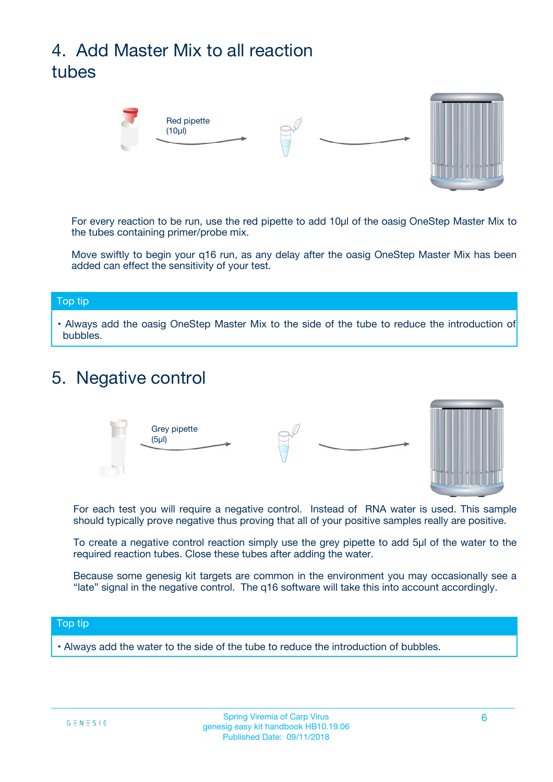## 4. Add Master Mix to all reaction tubes



For every reaction to be run, use the red pipette to add 10µl of the oasig OneStep Master Mix to the tubes containing primer/probe mix.

Move swiftly to begin your q16 run, as any delay after the oasig OneStep Master Mix has been added can effect the sensitivity of your test.

#### Top tip

**•** Always add the oasig OneStep Master Mix to the side of the tube to reduce the introduction of bubbles.

### 5. Negative control



For each test you will require a negative control. Instead of RNA water is used. This sample should typically prove negative thus proving that all of your positive samples really are positive.

To create a negative control reaction simply use the grey pipette to add 5µl of the water to the required reaction tubes. Close these tubes after adding the water.

Because some genesig kit targets are common in the environment you may occasionally see a "late" signal in the negative control. The q16 software will take this into account accordingly.

#### Top tip

**•** Always add the water to the side of the tube to reduce the introduction of bubbles.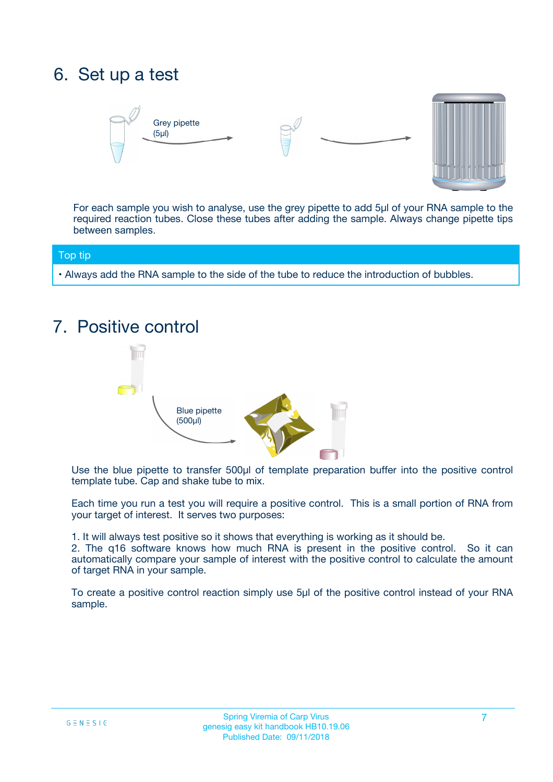## 6. Set up a test





For each sample you wish to analyse, use the grey pipette to add 5µl of your RNA sample to the required reaction tubes. Close these tubes after adding the sample. Always change pipette tips between samples.

#### Top tip

**•** Always add the RNA sample to the side of the tube to reduce the introduction of bubbles.

## 7. Positive control



Use the blue pipette to transfer 500µl of template preparation buffer into the positive control template tube. Cap and shake tube to mix.

Each time you run a test you will require a positive control. This is a small portion of RNA from your target of interest. It serves two purposes:

1. It will always test positive so it shows that everything is working as it should be.

2. The q16 software knows how much RNA is present in the positive control. So it can automatically compare your sample of interest with the positive control to calculate the amount of target RNA in your sample.

To create a positive control reaction simply use 5µl of the positive control instead of your RNA sample.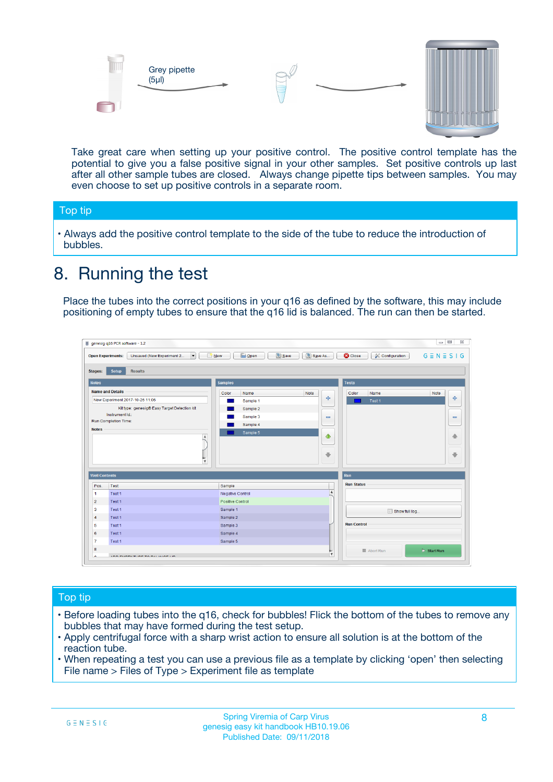



Take great care when setting up your positive control. The positive control template has the potential to give you a false positive signal in your other samples. Set positive controls up last after all other sample tubes are closed. Always change pipette tips between samples. You may even choose to set up positive controls in a separate room.

#### Top tip

**•** Always add the positive control template to the side of the tube to reduce the introduction of bubbles.

## 8. Running the test

Place the tubes into the correct positions in your q16 as defined by the software, this may include positioning of empty tubes to ensure that the q16 lid is balanced. The run can then be started.

|                                                | Unsaved (New Experiment 2<br><b>Open Experiments:</b><br>$\overline{\phantom{a}}$ | <b>E</b> Open<br>Save<br>$\Box$ New | Save As          | <b>C</b> Close<br>Configuration | $G \equiv N \equiv S \mid G$ |
|------------------------------------------------|-----------------------------------------------------------------------------------|-------------------------------------|------------------|---------------------------------|------------------------------|
| <b>Stages:</b>                                 | Setup<br><b>Results</b>                                                           |                                     |                  |                                 |                              |
| <b>Notes</b>                                   |                                                                                   | <b>Samples</b>                      |                  | <b>Tests</b>                    |                              |
|                                                | <b>Name and Details</b>                                                           | Color<br>Name                       | Note             | Color<br>Name                   | Note                         |
|                                                | New Experiment 2017-10-26 11:06                                                   | Sample 1                            | 4                | Test 1                          | 4                            |
|                                                | Kit type: genesig® Easy Target Detection kit                                      | Sample 2                            |                  |                                 |                              |
|                                                | Instrument Id.:                                                                   | Sample 3                            | $\equiv$         |                                 | $\equiv$                     |
|                                                | <b>Run Completion Time:</b>                                                       | Sample 4                            |                  |                                 |                              |
| <b>Notes</b>                                   | $\blacktriangle$                                                                  | Sample 5                            | ♦                |                                 | 傦                            |
|                                                |                                                                                   |                                     |                  |                                 |                              |
|                                                | $\overline{\mathbf{v}}$                                                           |                                     | ÷                |                                 |                              |
| <b>Well Contents</b>                           |                                                                                   |                                     |                  | Run                             | ⊕                            |
|                                                | Test                                                                              | Sample                              |                  | <b>Run Status</b>               |                              |
|                                                | Test 1                                                                            | Negative Control                    | $\blacktriangle$ |                                 |                              |
| Pos.<br>$\blacktriangleleft$<br>$\overline{2}$ | Test 1                                                                            | Positive Control                    |                  |                                 |                              |
| 3                                              | Test 1                                                                            | Sample 1                            |                  |                                 |                              |
|                                                | Test 1                                                                            | Sample 2                            |                  | Show full log                   |                              |
| $\overline{4}$<br>5                            | Test 1                                                                            | Sample 3                            |                  | <b>Run Control</b>              |                              |
|                                                | Test 1                                                                            | Sample 4                            |                  |                                 |                              |
| 6<br>$\overline{7}$                            | Test 1                                                                            | Sample 5                            |                  |                                 |                              |

#### Top tip

- Before loading tubes into the q16, check for bubbles! Flick the bottom of the tubes to remove any bubbles that may have formed during the test setup.
- Apply centrifugal force with a sharp wrist action to ensure all solution is at the bottom of the reaction tube.
- When repeating a test you can use a previous file as a template by clicking 'open' then selecting File name > Files of Type > Experiment file as template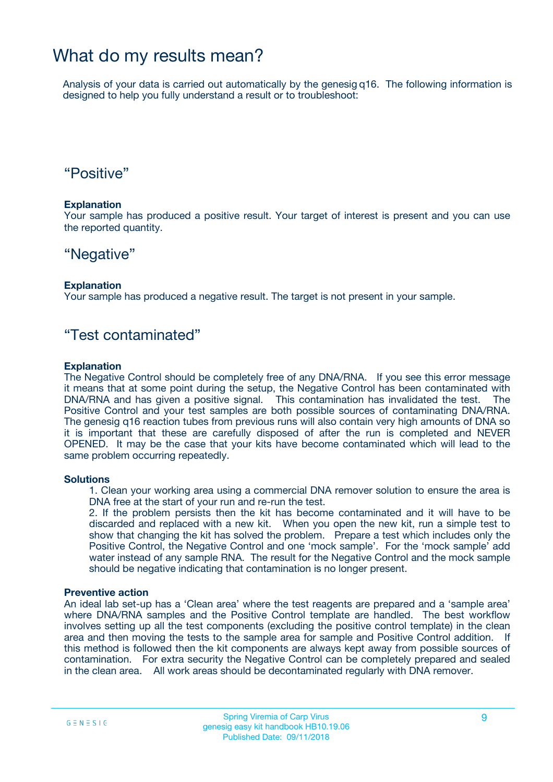### What do my results mean?

Analysis of your data is carried out automatically by the genesig q16. The following information is designed to help you fully understand a result or to troubleshoot:

### "Positive"

#### **Explanation**

Your sample has produced a positive result. Your target of interest is present and you can use the reported quantity.

### "Negative"

#### **Explanation**

Your sample has produced a negative result. The target is not present in your sample.

### "Test contaminated"

#### **Explanation**

The Negative Control should be completely free of any DNA/RNA. If you see this error message it means that at some point during the setup, the Negative Control has been contaminated with DNA/RNA and has given a positive signal. This contamination has invalidated the test. The Positive Control and your test samples are both possible sources of contaminating DNA/RNA. The genesig q16 reaction tubes from previous runs will also contain very high amounts of DNA so it is important that these are carefully disposed of after the run is completed and NEVER OPENED. It may be the case that your kits have become contaminated which will lead to the same problem occurring repeatedly.

#### **Solutions**

1. Clean your working area using a commercial DNA remover solution to ensure the area is DNA free at the start of your run and re-run the test.

2. If the problem persists then the kit has become contaminated and it will have to be discarded and replaced with a new kit. When you open the new kit, run a simple test to show that changing the kit has solved the problem. Prepare a test which includes only the Positive Control, the Negative Control and one 'mock sample'. For the 'mock sample' add water instead of any sample RNA. The result for the Negative Control and the mock sample should be negative indicating that contamination is no longer present.

#### **Preventive action**

An ideal lab set-up has a 'Clean area' where the test reagents are prepared and a 'sample area' where DNA/RNA samples and the Positive Control template are handled. The best workflow involves setting up all the test components (excluding the positive control template) in the clean area and then moving the tests to the sample area for sample and Positive Control addition. If this method is followed then the kit components are always kept away from possible sources of contamination. For extra security the Negative Control can be completely prepared and sealed in the clean area. All work areas should be decontaminated regularly with DNA remover.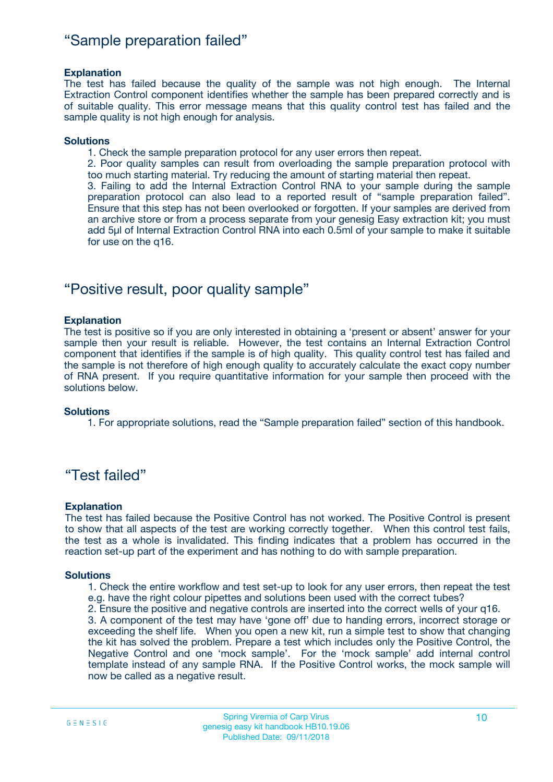### "Sample preparation failed"

#### **Explanation**

The test has failed because the quality of the sample was not high enough. The Internal Extraction Control component identifies whether the sample has been prepared correctly and is of suitable quality. This error message means that this quality control test has failed and the sample quality is not high enough for analysis.

#### **Solutions**

1. Check the sample preparation protocol for any user errors then repeat.

2. Poor quality samples can result from overloading the sample preparation protocol with too much starting material. Try reducing the amount of starting material then repeat.

3. Failing to add the Internal Extraction Control RNA to your sample during the sample preparation protocol can also lead to a reported result of "sample preparation failed". Ensure that this step has not been overlooked or forgotten. If your samples are derived from an archive store or from a process separate from your genesig Easy extraction kit; you must add 5µl of Internal Extraction Control RNA into each 0.5ml of your sample to make it suitable for use on the q16.

### "Positive result, poor quality sample"

#### **Explanation**

The test is positive so if you are only interested in obtaining a 'present or absent' answer for your sample then your result is reliable. However, the test contains an Internal Extraction Control component that identifies if the sample is of high quality. This quality control test has failed and the sample is not therefore of high enough quality to accurately calculate the exact copy number of RNA present. If you require quantitative information for your sample then proceed with the solutions below.

#### **Solutions**

1. For appropriate solutions, read the "Sample preparation failed" section of this handbook.

### "Test failed"

#### **Explanation**

The test has failed because the Positive Control has not worked. The Positive Control is present to show that all aspects of the test are working correctly together. When this control test fails, the test as a whole is invalidated. This finding indicates that a problem has occurred in the reaction set-up part of the experiment and has nothing to do with sample preparation.

#### **Solutions**

- 1. Check the entire workflow and test set-up to look for any user errors, then repeat the test e.g. have the right colour pipettes and solutions been used with the correct tubes?
- 2. Ensure the positive and negative controls are inserted into the correct wells of your q16.

3. A component of the test may have 'gone off' due to handing errors, incorrect storage or exceeding the shelf life. When you open a new kit, run a simple test to show that changing the kit has solved the problem. Prepare a test which includes only the Positive Control, the Negative Control and one 'mock sample'. For the 'mock sample' add internal control template instead of any sample RNA. If the Positive Control works, the mock sample will now be called as a negative result.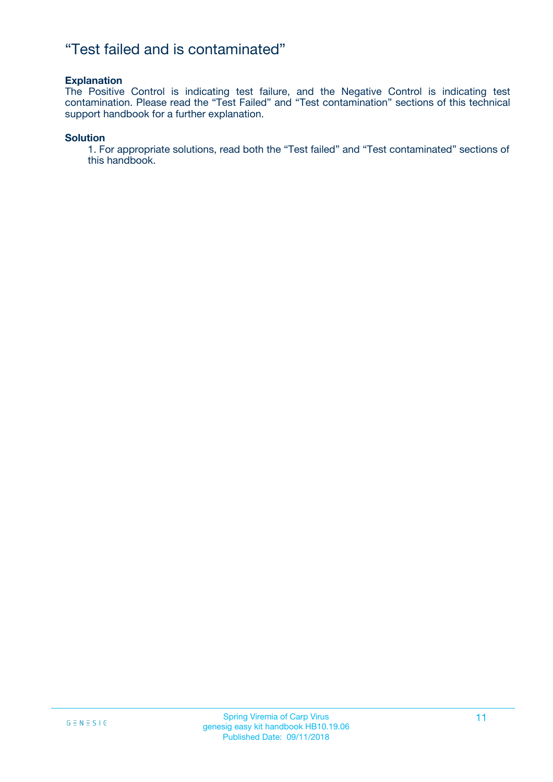### "Test failed and is contaminated"

#### **Explanation**

The Positive Control is indicating test failure, and the Negative Control is indicating test contamination. Please read the "Test Failed" and "Test contamination" sections of this technical support handbook for a further explanation.

#### **Solution**

1. For appropriate solutions, read both the "Test failed" and "Test contaminated" sections of this handbook.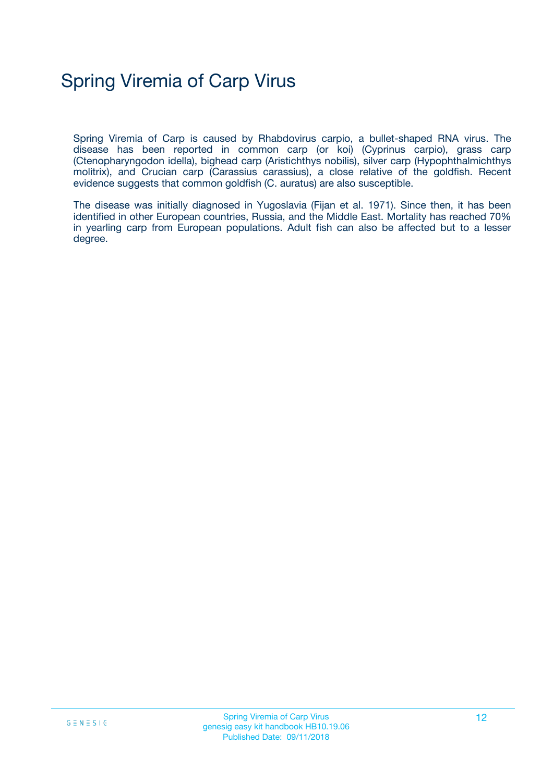## Spring Viremia of Carp Virus

Spring Viremia of Carp is caused by Rhabdovirus carpio, a bullet-shaped RNA virus. The disease has been reported in common carp (or koi) (Cyprinus carpio), grass carp (Ctenopharyngodon idella), bighead carp (Aristichthys nobilis), silver carp (Hypophthalmichthys molitrix), and Crucian carp (Carassius carassius), a close relative of the goldfish. Recent evidence suggests that common goldfish (C. auratus) are also susceptible.

The disease was initially diagnosed in Yugoslavia (Fijan et al. 1971). Since then, it has been identified in other European countries, Russia, and the Middle East. Mortality has reached 70% in yearling carp from European populations. Adult fish can also be affected but to a lesser degree.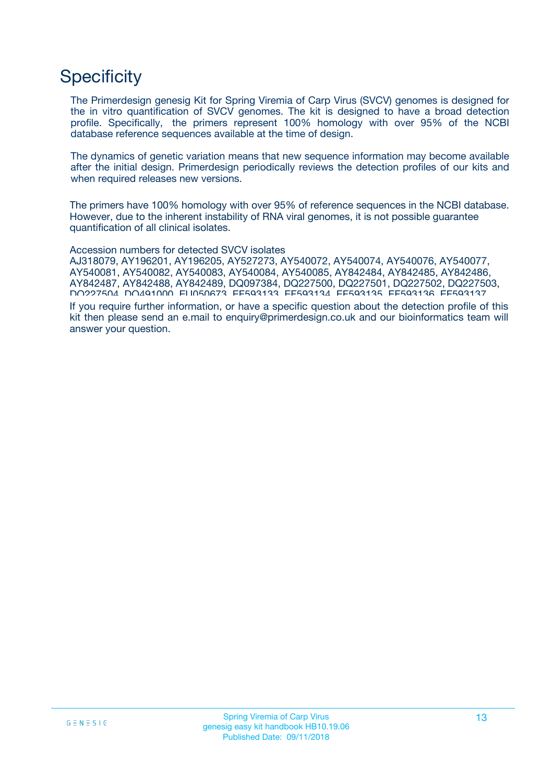## **Specificity**

The Primerdesign genesig Kit for Spring Viremia of Carp Virus (SVCV) genomes is designed for the in vitro quantification of SVCV genomes. The kit is designed to have a broad detection profile. Specifically, the primers represent 100% homology with over 95% of the NCBI database reference sequences available at the time of design.

The dynamics of genetic variation means that new sequence information may become available after the initial design. Primerdesign periodically reviews the detection profiles of our kits and when required releases new versions.

The primers have 100% homology with over 95% of reference sequences in the NCBI database. However, due to the inherent instability of RNA viral genomes, it is not possible guarantee quantification of all clinical isolates.

Accession numbers for detected SVCV isolates

AJ318079, AY196201, AY196205, AY527273, AY540072, AY540074, AY540076, AY540077, AY540081, AY540082, AY540083, AY540084, AY540085, AY842484, AY842485, AY842486, AY842487, AY842488, AY842489, DQ097384, DQ227500, DQ227501, DQ227502, DQ227503, DQ227504, DQ491000, EU050673, EF593133, EF593134, EF593135, EF593136, EF593137,

If you require further information, or have a specific question about the detection profile of this kit then please send an e.mail to enquiry@primerdesign.co.uk and our bioinformatics team will answer your question.